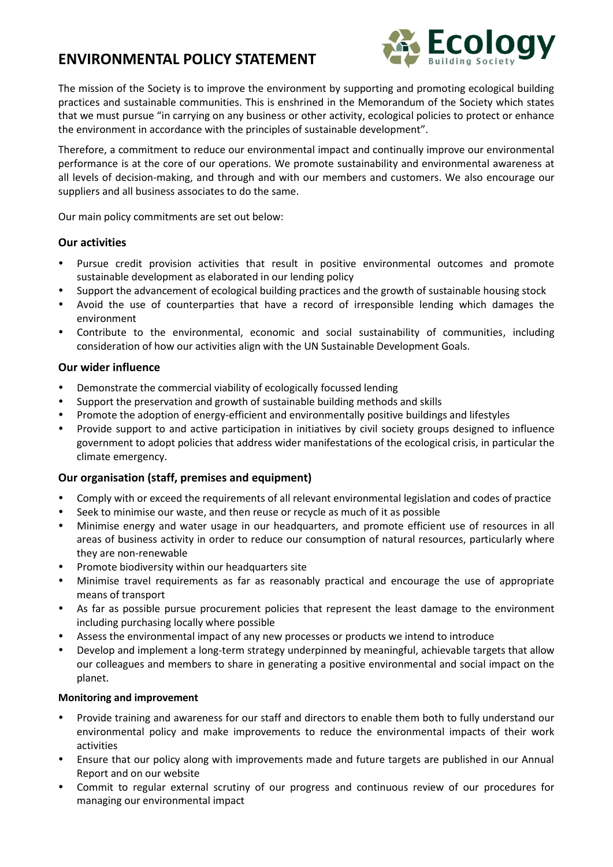# **ENVIRONMENTAL POLICY STATEMENT**



The mission of the Society is to improve the environment by supporting and promoting ecological building practices and sustainable communities. This is enshrined in the Memorandum of the Society which states that we must pursue "in carrying on any business or other activity, ecological policies to protect or enhance the environment in accordance with the principles of sustainable development".

Therefore, a commitment to reduce our environmental impact and continually improve our environmental performance is at the core of our operations. We promote sustainability and environmental awareness at all levels of decision-making, and through and with our members and customers. We also encourage our suppliers and all business associates to do the same.

Our main policy commitments are set out below:

### **Our activities**

- Pursue credit provision activities that result in positive environmental outcomes and promote sustainable development as elaborated in our lending policy
- Support the advancement of ecological building practices and the growth of sustainable housing stock
- Avoid the use of counterparties that have a record of irresponsible lending which damages the environment
- Contribute to the environmental, economic and social sustainability of communities, including consideration of how our activities align with the UN Sustainable Development Goals.

## **Our wider influence**

- Demonstrate the commercial viability of ecologically focussed lending
- Support the preservation and growth of sustainable building methods and skills
- Promote the adoption of energy-efficient and environmentally positive buildings and lifestyles
- Provide support to and active participation in initiatives by civil society groups designed to influence government to adopt policies that address wider manifestations of the ecological crisis, in particular the climate emergency.

## **Our organisation (staff, premises and equipment)**

- Comply with or exceed the requirements of all relevant environmental legislation and codes of practice
- Seek to minimise our waste, and then reuse or recycle as much of it as possible
- Minimise energy and water usage in our headquarters, and promote efficient use of resources in all areas of business activity in order to reduce our consumption of natural resources, particularly where they are non-renewable
- Promote biodiversity within our headquarters site
- Minimise travel requirements as far as reasonably practical and encourage the use of appropriate means of transport
- As far as possible pursue procurement policies that represent the least damage to the environment including purchasing locally where possible
- Assess the environmental impact of any new processes or products we intend to introduce
- Develop and implement a long-term strategy underpinned by meaningful, achievable targets that allow our colleagues and members to share in generating a positive environmental and social impact on the planet.

### **Monitoring and improvement**

- Provide training and awareness for our staff and directors to enable them both to fully understand our environmental policy and make improvements to reduce the environmental impacts of their work activities
- Ensure that our policy along with improvements made and future targets are published in our Annual Report and on our website
- Commit to regular external scrutiny of our progress and continuous review of our procedures for managing our environmental impact